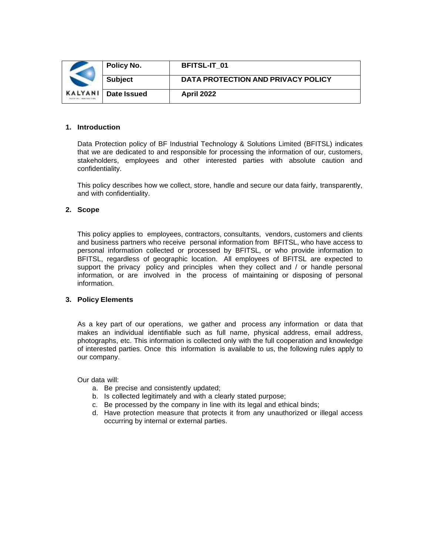|                                    | Policy No.     | <b>BFITSL-IT 01</b>                |
|------------------------------------|----------------|------------------------------------|
|                                    | <b>Subject</b> | DATA PROTECTION AND PRIVACY POLICY |
| KALYANI<br><b>BARBAL PRESIDENT</b> | Date Issued    | <b>April 2022</b>                  |

# **1. Introduction**

Data Protection policy of BF Industrial Technology & Solutions Limited (BFITSL) indicates that we are dedicated to and responsible for processing the information of our, customers, stakeholders, employees and other interested parties with absolute caution and confidentiality.

This policy describes how we collect, store, handle and secure our data fairly, transparently, and with confidentiality.

# **2. Scope**

This policy applies to employees, contractors, consultants, vendors, customers and clients and business partners who receive personal information from BFITSL, who have access to personal information collected or processed by BFITSL, or who provide information to BFITSL, regardless of geographic location. All employees of BFITSL are expected to support the privacy policy and principles when they collect and / or handle personal information, or are involved in the process of maintaining or disposing of personal information.

### **3. Policy Elements**

As a key part of our operations, we gather and process any information or data that makes an individual identifiable such as full name, physical address, email address, photographs, etc. This information is collected only with the full cooperation and knowledge of interested parties. Once this information is available to us, the following rules apply to our company.

Our data will:

- a. Be precise and consistently updated;
- b. Is collected legitimately and with a clearly stated purpose;
- c. Be processed by the company in line with its legal and ethical binds;
- d. Have protection measure that protects it from any unauthorized or illegal access occurring by internal or external parties.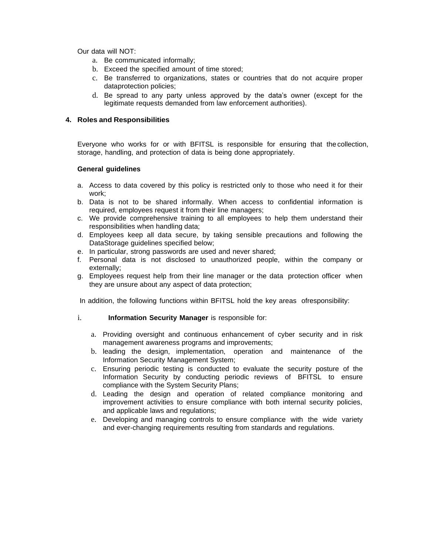Our data will NOT:

- a. Be communicated informally;
- b. Exceed the specified amount of time stored;
- c. Be transferred to organizations, states or countries that do not acquire proper dataprotection policies;
- d. Be spread to any party unless approved by the data's owner (except for the legitimate requests demanded from law enforcement authorities).

# **4. Roles and Responsibilities**

Everyone who works for or with BFITSL is responsible for ensuring that thecollection, storage, handling, and protection of data is being done appropriately.

### **General guidelines**

- a. Access to data covered by this policy is restricted only to those who need it for their work;
- b. Data is not to be shared informally. When access to confidential information is required, employees request it from their line managers;
- c. We provide comprehensive training to all employees to help them understand their responsibilities when handling data;
- d. Employees keep all data secure, by taking sensible precautions and following the DataStorage guidelines specified below;
- e. In particular, strong passwords are used and never shared;
- f. Personal data is not disclosed to unauthorized people, within the company or externally;
- g. Employees request help from their line manager or the data protection officer when they are unsure about any aspect of data protection;

In addition, the following functions within BFITSL hold the key areas ofresponsibility:

- i. **Information Security Manager** is responsible for:
	- a. Providing oversight and continuous enhancement of cyber security and in risk management awareness programs and improvements;
	- b. leading the design, implementation, operation and maintenance of the Information Security Management System;
	- c. Ensuring periodic testing is conducted to evaluate the security posture of the Information Security by conducting periodic reviews of BFITSL to ensure compliance with the System Security Plans;
	- d. Leading the design and operation of related compliance monitoring and improvement activities to ensure compliance with both internal security policies, and applicable laws and regulations;
	- e. Developing and managing controls to ensure compliance with the wide variety and ever-changing requirements resulting from standards and regulations.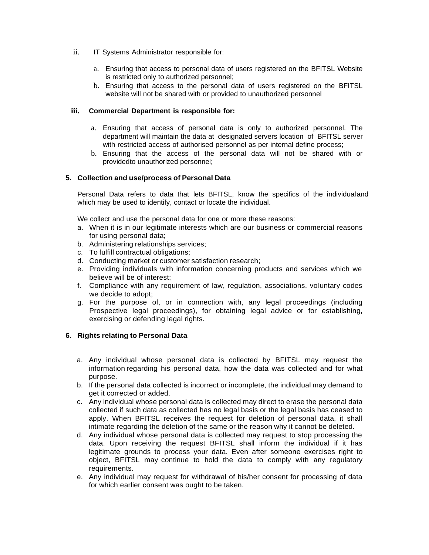- ii. IT Systems Administrator responsible for:
	- a. Ensuring that access to personal data of users registered on the BFITSL Website is restricted only to authorized personnel;
	- b. Ensuring that access to the personal data of users registered on the BFITSL website will not be shared with or provided to unauthorized personnel

# **iii. Commercial Department is responsible for:**

- a. Ensuring that access of personal data is only to authorized personnel. The department will maintain the data at designated servers location of BFITSL server with restricted access of authorised personnel as per internal define process;
- b. Ensuring that the access of the personal data will not be shared with or providedto unauthorized personnel;

# **5. Collection and use/process of Personal Data**

Personal Data refers to data that lets BFITSL, know the specifics of the individualand which may be used to identify, contact or locate the individual.

We collect and use the personal data for one or more these reasons:

- a. When it is in our legitimate interests which are our business or commercial reasons for using personal data;
- b. Administering relationships services;
- c. To fulfill contractual obligations;
- d. Conducting market or customer satisfaction research;
- e. Providing individuals with information concerning products and services which we believe will be of interest;
- f. Compliance with any requirement of law, regulation, associations, voluntary codes we decide to adopt;
- g. For the purpose of, or in connection with, any legal proceedings (including Prospective legal proceedings), for obtaining legal advice or for establishing, exercising or defending legal rights.

### **6. Rights relating to Personal Data**

- a. Any individual whose personal data is collected by BFITSL may request the information regarding his personal data, how the data was collected and for what purpose.
- b. If the personal data collected is incorrect or incomplete, the individual may demand to get it corrected or added.
- c. Any individual whose personal data is collected may direct to erase the personal data collected if such data as collected has no legal basis or the legal basis has ceased to apply. When BFITSL receives the request for deletion of personal data, it shall intimate regarding the deletion of the same or the reason why it cannot be deleted.
- d. Any individual whose personal data is collected may request to stop processing the data. Upon receiving the request BFITSL shall inform the individual if it has legitimate grounds to process your data. Even after someone exercises right to object, BFITSL may continue to hold the data to comply with any regulatory requirements.
- e. Any individual may request for withdrawal of his/her consent for processing of data for which earlier consent was ought to be taken.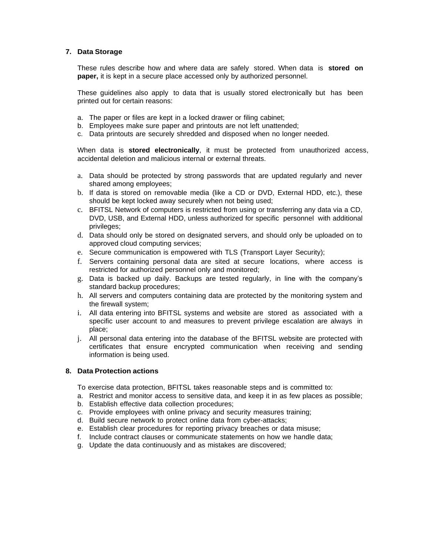# **7. Data Storage**

These rules describe how and where data are safely stored. When data is **stored on paper,** it is kept in a secure place accessed only by authorized personnel.

These guidelines also apply to data that is usually stored electronically but has been printed out for certain reasons:

- a. The paper or files are kept in a locked drawer or filing cabinet;
- b. Employees make sure paper and printouts are not left unattended;
- c. Data printouts are securely shredded and disposed when no longer needed.

When data is **stored electronically**, it must be protected from unauthorized access, accidental deletion and malicious internal or external threats.

- a. Data should be protected by strong passwords that are updated regularly and never shared among employees;
- b. If data is stored on removable media (like a CD or DVD, External HDD, etc.), these should be kept locked away securely when not being used;
- c. BFITSL Network of computers is restricted from using or transferring any data via a CD, DVD, USB, and External HDD, unless authorized for specific personnel with additional privileges;
- d. Data should only be stored on designated servers, and should only be uploaded on to approved cloud computing services;
- e. Secure communication is empowered with TLS (Transport Layer Security);
- f. Servers containing personal data are sited at secure locations, where access is restricted for authorized personnel only and monitored;
- g. Data is backed up daily. Backups are tested regularly, in line with the company's standard backup procedures;
- h. All servers and computers containing data are protected by the monitoring system and the firewall system;
- i. All data entering into BFITSL systems and website are stored as associated with a specific user account to and measures to prevent privilege escalation are always in place;
- j. All personal data entering into the database of the BFITSL website are protected with certificates that ensure encrypted communication when receiving and sending information is being used.

# **8. Data Protection actions**

To exercise data protection, BFITSL takes reasonable steps and is committed to:

- a. Restrict and monitor access to sensitive data, and keep it in as few places as possible;
- b. Establish effective data collection procedures;
- c. Provide employees with online privacy and security measures training;
- d. Build secure network to protect online data from cyber-attacks;
- e. Establish clear procedures for reporting privacy breaches or data misuse;
- f. Include contract clauses or communicate statements on how we handle data;
- g. Update the data continuously and as mistakes are discovered;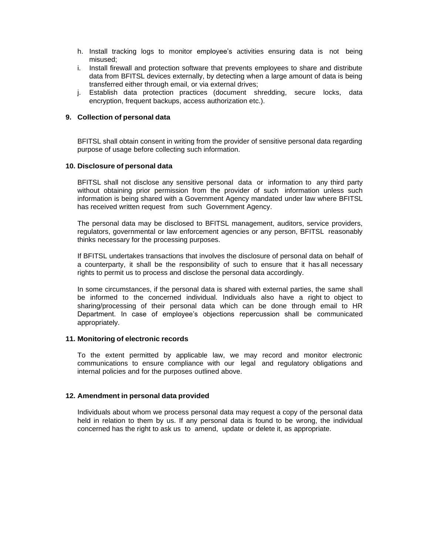- h. Install tracking logs to monitor employee's activities ensuring data is not being misused;
- i. Install firewall and protection software that prevents employees to share and distribute data from BFITSL devices externally, by detecting when a large amount of data is being transferred either through email, or via external drives;
- j. Establish data protection practices (document shredding, secure locks, data encryption, frequent backups, access authorization etc.).

### **9. Collection of personal data**

BFITSL shall obtain consent in writing from the provider of sensitive personal data regarding purpose of usage before collecting such information.

#### **10. Disclosure of personal data**

BFITSL shall not disclose any sensitive personal data or information to any third party without obtaining prior permission from the provider of such information unless such information is being shared with a Government Agency mandated under law where BFITSL has received written request from such Government Agency.

The personal data may be disclosed to BFITSL management, auditors, service providers, regulators, governmental or law enforcement agencies or any person, BFITSL reasonably thinks necessary for the processing purposes.

If BFITSL undertakes transactions that involves the disclosure of personal data on behalf of a counterparty, it shall be the responsibility of such to ensure that it has all necessary rights to permit us to process and disclose the personal data accordingly.

In some circumstances, if the personal data is shared with external parties, the same shall be informed to the concerned individual. Individuals also have a right to object to sharing/processing of their personal data which can be done through email to HR Department. In case of employee's objections repercussion shall be communicated appropriately.

#### **11. Monitoring of electronic records**

To the extent permitted by applicable law, we may record and monitor electronic communications to ensure compliance with our legal and regulatory obligations and internal policies and for the purposes outlined above.

#### **12. Amendment in personal data provided**

Individuals about whom we process personal data may request a copy of the personal data held in relation to them by us. If any personal data is found to be wrong, the individual concerned has the right to ask us to amend, update or delete it, as appropriate.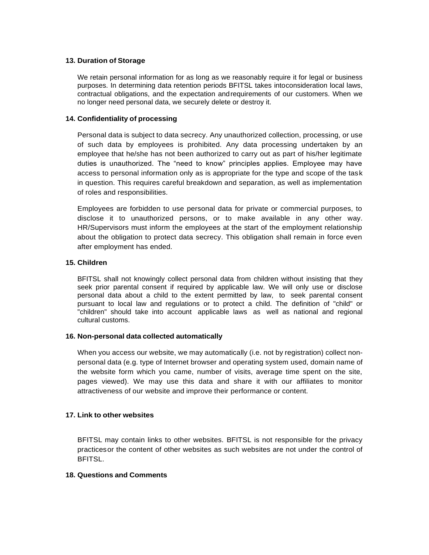# **13. Duration of Storage**

We retain personal information for as long as we reasonably require it for legal or business purposes. In determining data retention periods BFITSL takes intoconsideration local laws, contractual obligations, and the expectation andrequirements of our customers. When we no longer need personal data, we securely delete or destroy it.

# **14. Confidentiality of processing**

Personal data is subject to data secrecy. Any unauthorized collection, processing, or use of such data by employees is prohibited. Any data processing undertaken by an employee that he/she has not been authorized to carry out as part of his/her legitimate duties is unauthorized. The "need to know" principles applies. Employee may have access to personal information only as is appropriate for the type and scope of the task in question. This requires careful breakdown and separation, as well as implementation of roles and responsibilities.

Employees are forbidden to use personal data for private or commercial purposes, to disclose it to unauthorized persons, or to make available in any other way. HR/Supervisors must inform the employees at the start of the employment relationship about the obligation to protect data secrecy. This obligation shall remain in force even after employment has ended.

# **15. Children**

BFITSL shall not knowingly collect personal data from children without insisting that they seek prior parental consent if required by applicable law. We will only use or disclose personal data about a child to the extent permitted by law, to seek parental consent pursuant to local law and regulations or to protect a child. The definition of "child" or "children" should take into account applicable laws as well as national and regional cultural customs.

### **16. Non-personal data collected automatically**

When you access our website, we may automatically (i.e. not by registration) collect nonpersonal data (e.g. type of Internet browser and operating system used, domain name of the website form which you came, number of visits, average time spent on the site, pages viewed). We may use this data and share it with our affiliates to monitor attractiveness of our website and improve their performance or content.

# **17. Link to other websites**

BFITSL may contain links to other websites. BFITSL is not responsible for the privacy practicesor the content of other websites as such websites are not under the control of BFITSL.

### **18. Questions and Comments**